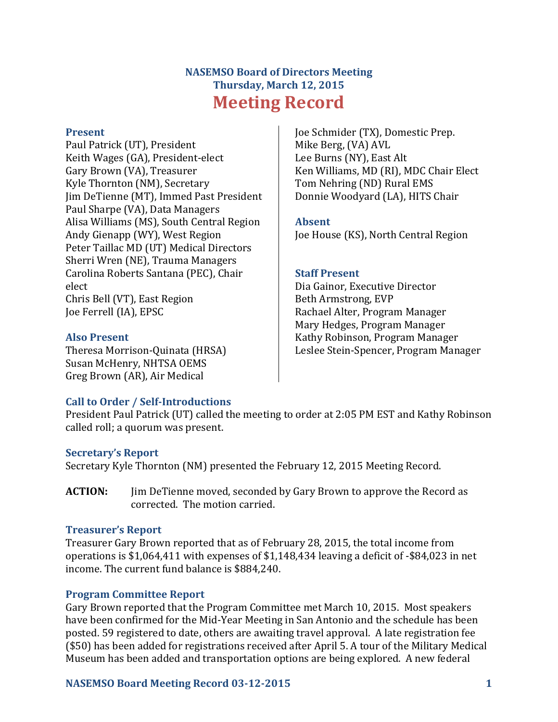# **NASEMSO Board of Directors Meeting Thursday, March 12, 2015 Meeting Record**

#### **Present**

Paul Patrick (UT), President Keith Wages (GA), President-elect Gary Brown (VA), Treasurer Kyle Thornton (NM), Secretary Jim DeTienne (MT), Immed Past President Paul Sharpe (VA), Data Managers Alisa Williams (MS), South Central Region Andy Gienapp (WY), West Region Peter Taillac MD (UT) Medical Directors Sherri Wren (NE), Trauma Managers Carolina Roberts Santana (PEC), Chair elect Chris Bell (VT), East Region Joe Ferrell (IA), EPSC

# **Also Present**

Theresa Morrison-Quinata (HRSA) Susan McHenry, NHTSA OEMS Greg Brown (AR), Air Medical

Joe Schmider (TX), Domestic Prep. Mike Berg, (VA) AVL Lee Burns (NY), East Alt Ken Williams, MD (RI), MDC Chair Elect Tom Nehring (ND) Rural EMS Donnie Woodyard (LA), HITS Chair

#### **Absent**

Joe House (KS), North Central Region

#### **Staff Present**

Dia Gainor, Executive Director Beth Armstrong, EVP Rachael Alter, Program Manager Mary Hedges, Program Manager Kathy Robinson, Program Manager Leslee Stein-Spencer, Program Manager

# **Call to Order / Self-Introductions**

President Paul Patrick (UT) called the meeting to order at 2:05 PM EST and Kathy Robinson called roll; a quorum was present.

# **Secretary's Report**

Secretary Kyle Thornton (NM) presented the February 12, 2015 Meeting Record.

**ACTION:** Jim DeTienne moved, seconded by Gary Brown to approve the Record as corrected. The motion carried.

#### **Treasurer's Report**

Treasurer Gary Brown reported that as of February 28, 2015, the total income from operations is \$1,064,411 with expenses of \$1,148,434 leaving a deficit of -\$84,023 in net income. The current fund balance is \$884,240.

# **Program Committee Report**

Gary Brown reported that the Program Committee met March 10, 2015. Most speakers have been confirmed for the Mid-Year Meeting in San Antonio and the schedule has been posted. 59 registered to date, others are awaiting travel approval. A late registration fee (\$50) has been added for registrations received after April 5. A tour of the Military Medical Museum has been added and transportation options are being explored. A new federal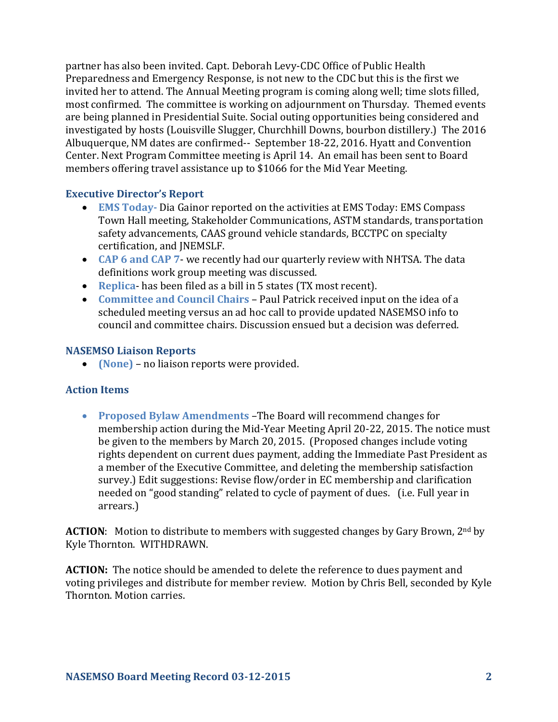partner has also been invited. Capt. Deborah Levy-CDC Office of Public Health Preparedness and Emergency Response, is not new to the CDC but this is the first we invited her to attend. The Annual Meeting program is coming along well; time slots filled, most confirmed. The committee is working on adjournment on Thursday. Themed events are being planned in Presidential Suite. Social outing opportunities being considered and investigated by hosts (Louisville Slugger, Churchhill Downs, bourbon distillery.) The 2016 Albuquerque, NM dates are confirmed-- September 18-22, 2016. Hyatt and Convention Center. Next Program Committee meeting is April 14. An email has been sent to Board members offering travel assistance up to \$1066 for the Mid Year Meeting.

#### **Executive Director's Report**

- **EMS Today-** Dia Gainor reported on the activities at EMS Today: EMS Compass Town Hall meeting, Stakeholder Communications, ASTM standards, transportation safety advancements, CAAS ground vehicle standards, BCCTPC on specialty certification, and JNEMSLF.
- **CAP 6 and CAP 7** we recently had our quarterly review with NHTSA. The data definitions work group meeting was discussed.
- **Replica** has been filed as a bill in 5 states (TX most recent).
- **Committee and Council Chairs** Paul Patrick received input on the idea of a scheduled meeting versus an ad hoc call to provide updated NASEMSO info to council and committee chairs. Discussion ensued but a decision was deferred.

#### **NASEMSO Liaison Reports**

**(None)** – no liaison reports were provided.

# **Action Items**

 **Proposed Bylaw Amendments** –The Board will recommend changes for membership action during the Mid-Year Meeting April 20-22, 2015. The notice must be given to the members by March 20, 2015. (Proposed changes include voting rights dependent on current dues payment, adding the Immediate Past President as a member of the Executive Committee, and deleting the membership satisfaction survey.) Edit suggestions: Revise flow/order in EC membership and clarification needed on "good standing" related to cycle of payment of dues. (i.e. Full year in arrears.)

**ACTION:** Motion to distribute to members with suggested changes by Gary Brown, 2<sup>nd</sup> by Kyle Thornton. WITHDRAWN.

**ACTION:** The notice should be amended to delete the reference to dues payment and voting privileges and distribute for member review. Motion by Chris Bell, seconded by Kyle Thornton. Motion carries.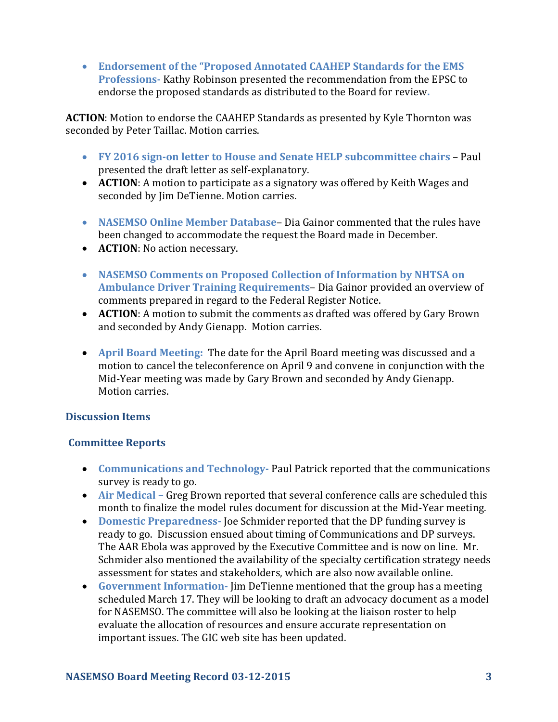**Endorsement of the "Proposed Annotated CAAHEP Standards for the EMS Professions-** Kathy Robinson presented the recommendation from the EPSC to endorse the proposed standards as distributed to the Board for review**.**

**ACTION**: Motion to endorse the CAAHEP Standards as presented by Kyle Thornton was seconded by Peter Taillac. Motion carries.

- **FY 2016 sign-on letter to House and Senate HELP subcommittee chairs** Paul presented the draft letter as self-explanatory.
- **ACTION**: A motion to participate as a signatory was offered by Keith Wages and seconded by Jim DeTienne. Motion carries.
- **NASEMSO Online Member Database** Dia Gainor commented that the rules have been changed to accommodate the request the Board made in December.
- **ACTION**: No action necessary.
- **NASEMSO Comments on Proposed Collection of Information by NHTSA on Ambulance Driver Training Requirements**– Dia Gainor provided an overview of comments prepared in regard to the Federal Register Notice.
- **ACTION**: A motion to submit the comments as drafted was offered by Gary Brown and seconded by Andy Gienapp. Motion carries.
- **April Board Meeting:**The date for the April Board meeting was discussed and a motion to cancel the teleconference on April 9 and convene in conjunction with the Mid-Year meeting was made by Gary Brown and seconded by Andy Gienapp. Motion carries.

# **Discussion Items**

# **Committee Reports**

- **Communications and Technology-** Paul Patrick reported that the communications survey is ready to go.
- **Air Medical –** Greg Brown reported that several conference calls are scheduled this month to finalize the model rules document for discussion at the Mid-Year meeting.
- **Domestic Preparedness-** Joe Schmider reported that the DP funding survey is ready to go. Discussion ensued about timing of Communications and DP surveys. The AAR Ebola was approved by the Executive Committee and is now on line. Mr. Schmider also mentioned the availability of the specialty certification strategy needs assessment for states and stakeholders, which are also now available online.
- **Government Information-** Jim DeTienne mentioned that the group has a meeting scheduled March 17. They will be looking to draft an advocacy document as a model for NASEMSO. The committee will also be looking at the liaison roster to help evaluate the allocation of resources and ensure accurate representation on important issues. The GIC web site has been updated.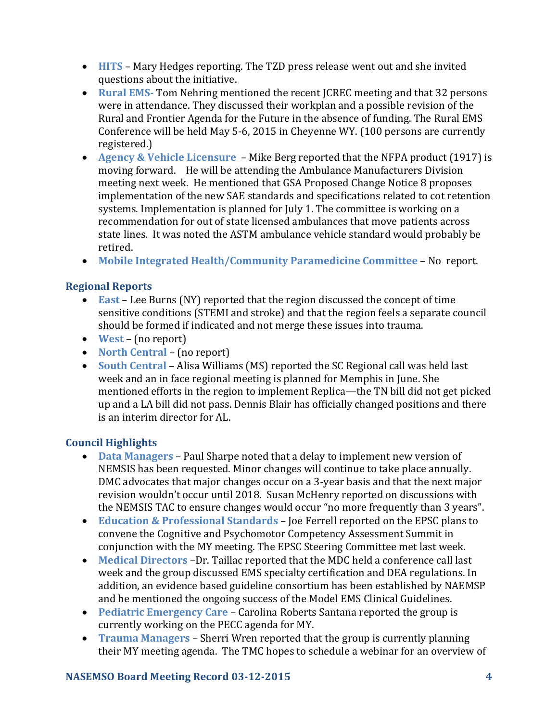- **HITS** Mary Hedges reporting. The TZD press release went out and she invited questions about the initiative.
- **Rural EMS-** Tom Nehring mentioned the recent JCREC meeting and that 32 persons were in attendance. They discussed their workplan and a possible revision of the Rural and Frontier Agenda for the Future in the absence of funding. The Rural EMS Conference will be held May 5-6, 2015 in Cheyenne WY. (100 persons are currently registered.)
- **Agency & Vehicle Licensure**  Mike Berg reported that the NFPA product (1917) is moving forward. He will be attending the Ambulance Manufacturers Division meeting next week. He mentioned that GSA Proposed Change Notice 8 proposes implementation of the new SAE standards and specifications related to cot retention systems. Implementation is planned for July 1. The committee is working on a recommendation for out of state licensed ambulances that move patients across state lines. It was noted the ASTM ambulance vehicle standard would probably be retired.
- **Mobile Integrated Health/Community Paramedicine Committee** No report.

# **Regional Reports**

- **East** Lee Burns (NY) reported that the region discussed the concept of time sensitive conditions (STEMI and stroke) and that the region feels a separate council should be formed if indicated and not merge these issues into trauma.
- **West** (no report)
- **North Central** (no report)
- **South Central** Alisa Williams (MS) reported the SC Regional call was held last week and an in face regional meeting is planned for Memphis in June. She mentioned efforts in the region to implement Replica—the TN bill did not get picked up and a LA bill did not pass. Dennis Blair has officially changed positions and there is an interim director for AL.

# **Council Highlights**

- **Data Managers** Paul Sharpe noted that a delay to implement new version of NEMSIS has been requested. Minor changes will continue to take place annually. DMC advocates that major changes occur on a 3-year basis and that the next major revision wouldn't occur until 2018. Susan McHenry reported on discussions with the NEMSIS TAC to ensure changes would occur "no more frequently than 3 years".
- **Education & Professional Standards** Joe Ferrell reported on the EPSC plans to convene the Cognitive and Psychomotor Competency Assessment Summit in conjunction with the MY meeting. The EPSC Steering Committee met last week.
- **Medical Directors** –Dr. Taillac reported that the MDC held a conference call last week and the group discussed EMS specialty certification and DEA regulations. In addition, an evidence based guideline consortium has been established by NAEMSP and he mentioned the ongoing success of the Model EMS Clinical Guidelines.
- **Pediatric Emergency Care** Carolina Roberts Santana reported the group is currently working on the PECC agenda for MY.
- **Trauma Managers** Sherri Wren reported that the group is currently planning their MY meeting agenda. The TMC hopes to schedule a webinar for an overview of

# **NASEMSO Board Meeting Record 03-12-2015 4**